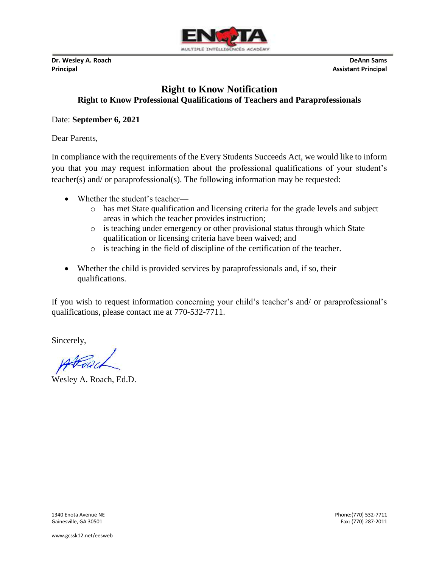

**Dr. Wesley A. Roach DeAnn Sams Principal Assistant Principal**

## **Right to Know Notification Right to Know Professional Qualifications of Teachers and Paraprofessionals**

## Date: **September 6, 2021**

Dear Parents,

In compliance with the requirements of the Every Students Succeeds Act, we would like to inform you that you may request information about the professional qualifications of your student's teacher(s) and/ or paraprofessional(s). The following information may be requested:

- Whether the student's teacher
	- o has met State qualification and licensing criteria for the grade levels and subject areas in which the teacher provides instruction;
	- o is teaching under emergency or other provisional status through which State qualification or licensing criteria have been waived; and
	- o is teaching in the field of discipline of the certification of the teacher.
- Whether the child is provided services by paraprofessionals and, if so, their qualifications.

If you wish to request information concerning your child's teacher's and/ or paraprofessional's qualifications, please contact me at 770-532-7711.

Sincerely,

Wesley A. Roach, Ed.D.